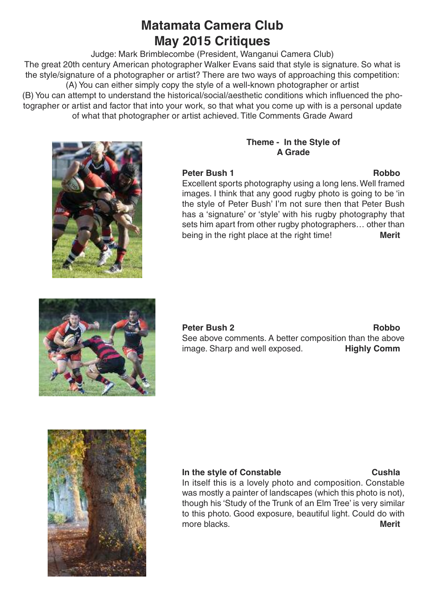# **Matamata Camera Club May 2015 Critiques**

Judge: Mark Brimblecombe (President, Wanganui Camera Club) The great 20th century American photographer Walker Evans said that style is signature. So what is the style/signature of a photographer or artist? There are two ways of approaching this competition: (A) You can either simply copy the style of a well-known photographer or artist

(B) You can attempt to understand the historical/social/aesthetic conditions which influenced the photographer or artist and factor that into your work, so that what you come up with is a personal update of what that photographer or artist achieved. Title Comments Grade Award



## **Theme - In the Style of A Grade**

## **Peter Bush 1 Robbo**

Excellent sports photography using a long lens.Well framed images. I think that any good rugby photo is going to be 'in the style of Peter Bush' I'm not sure then that Peter Bush has a 'signature' or 'style' with his rugby photography that sets him apart from other rugby photographers… other than being in the right place at the right time! **Merit**



**Peter Bush 2 Robbo** See above comments. A better composition than the above image. Sharp and well exposed. **Highly Comm**



## **In the style of Constable Cushla**

In itself this is a lovely photo and composition. Constable was mostly a painter of landscapes (which this photo is not), though his 'Study of the Trunk of an Elm Tree' is very similar to this photo. Good exposure, beautiful light. Could do with more blacks.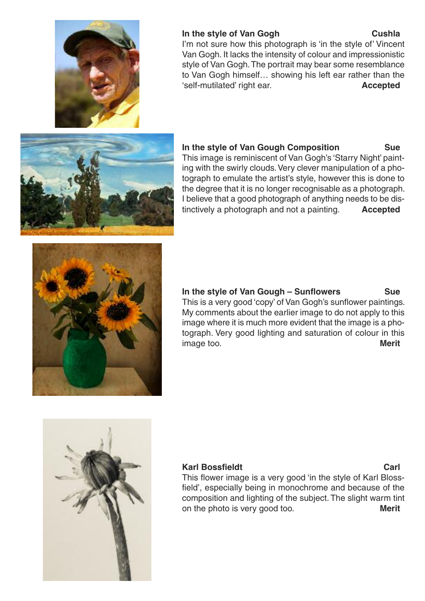

### **In the style of Van Gogh Cushla**

I'm not sure how this photograph is 'in the style of' Vincent Van Gogh. It lacks the intensity of colour and impressionistic style of Van Gogh. The portrait may bear some resemblance to Van Gogh himself… showing his left ear rather than the 'self-mutilated' right ear. **Accepted**

# **In the style of Van Gough Composition Sue**

This image is reminiscent of Van Gogh's 'Starry Night' painting with the swirly clouds. Very clever manipulation of a photograph to emulate the artist's style, however this is done to the degree that it is no longer recognisable as a photograph. I believe that a good photograph of anything needs to be dis-

tinctively a photograph and not a painting. **Accepted**



## **In the style of Van Gough – Sunflowers Sue**

This is a very good 'copy' of Van Gogh's sunflower paintings. My comments about the earlier image to do not apply to this image where it is much more evident that the image is a photograph. Very good lighting and saturation of colour in this image too. **Merit**



### **Karl Bossfieldt Carl**

This flower image is a very good 'in the style of Karl Blossfield', especially being in monochrome and because of the composition and lighting of the subject. The slight warm tint on the photo is very good too. **Merit**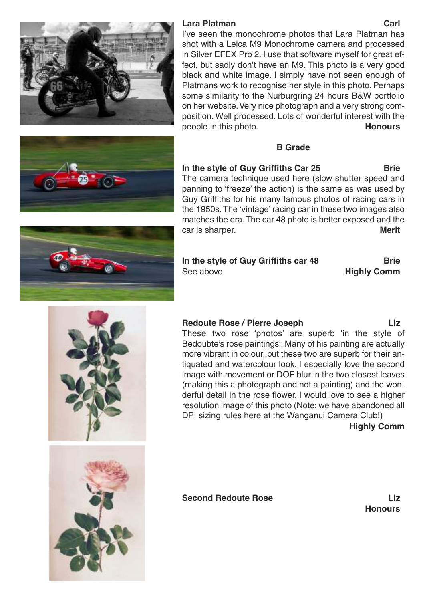I've seen the monochrome photos that Lara Platman has shot with a Leica M9 Monochrome camera and processed in Silver EFEX Pro 2. I use that software myself for great effect, but sadly don't have an M9. This photo is a very good black and white image. I simply have not seen enough of Platmans work to recognise her style in this photo. Perhaps some similarity to the Nurburgring 24 hours B&W portfolio on her website.Very nice photograph and a very strong composition. Well processed. Lots of wonderful interest with the people in this photo. **Honours**

### **B Grade**

**In the style of Guy Griffiths Car 25 Brie** The camera technique used here (slow shutter speed and panning to 'freeze' the action) is the same as was used by Guy Griffiths for his many famous photos of racing cars in the 1950s.The 'vintage' racing car in these two images also matches the era.The car 48 photo is better exposed and the car is sharper. **Merit**

**In the style of Guy Griffiths car 48 Brie** See above **Highly Comm**

**Redoute Rose / Pierre Joseph Liz**

These two rose 'photos' are superb 'in the style of Bedoubte's rose paintings'. Many of his painting are actually more vibrant in colour, but these two are superb for their antiquated and watercolour look. I especially love the second image with movement or DOF blur in the two closest leaves (making this a photograph and not a painting) and the wonderful detail in the rose flower. I would love to see a higher resolution image of this photo (Note: we have abandoned all DPI sizing rules here at the Wanganui Camera Club!)

**Highly Comm**

**Second Redoute Rose Liz**















**Honours**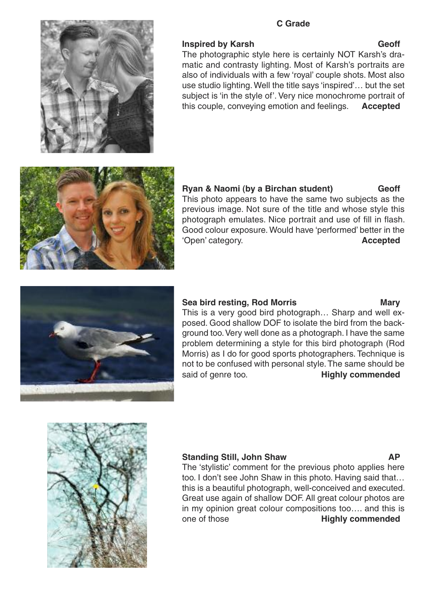### **C Grade**



### **Inspired by Karsh Geoff**

The photographic style here is certainly NOT Karsh's dramatic and contrasty lighting. Most of Karsh's portraits are also of individuals with a few 'royal' couple shots. Most also use studio lighting.Well the title says 'inspired'… but the set subject is 'in the style of'. Very nice monochrome portrait of this couple, conveying emotion and feelings. **Accepted**



**Ryan & Naomi (by a Birchan student) Geoff** This photo appears to have the same two subjects as the previous image. Not sure of the title and whose style this photograph emulates. Nice portrait and use of fill in flash. Good colour exposure. Would have 'performed' better in the 'Open' category. **Accepted**

### **Sea bird resting, Rod Morris Mary**





### **Standing Still, John Shaw AP**

The 'stylistic' comment for the previous photo applies here too. I don't see John Shaw in this photo. Having said that… this is a beautiful photograph, well-conceived and executed. Great use again of shallow DOF. All great colour photos are in my opinion great colour compositions too…. and this is one of those **Highly commended**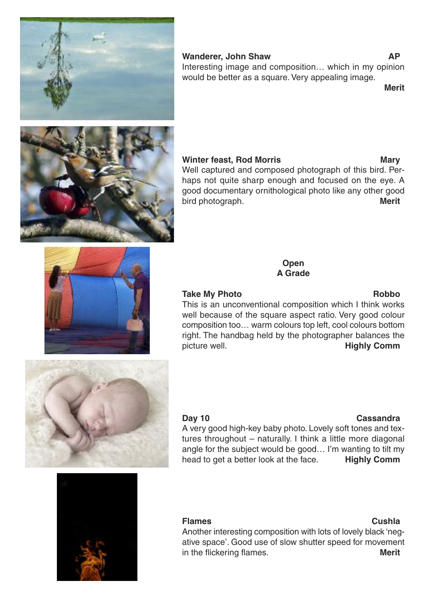### **Wanderer, John Shaw AP**

Interesting image and composition… which in my opinion would be better as a square. Very appealing image.

**Merit**

## **Winter feast, Rod Morris Mary**

Well captured and composed photograph of this bird. Perhaps not quite sharp enough and focused on the eye. A good documentary ornithological photo like any other good bird photograph. **Merit**

> **Open A Grade**

### **Take My Photo Robbo**

This is an unconventional composition which I think works well because of the square aspect ratio. Very good colour composition too… warm colours top left, cool colours bottom right. The handbag held by the photographer balances the picture well. **Highly Comm**

A very good high-key baby photo. Lovely soft tones and textures throughout – naturally. I think a little more diagonal angle for the subject would be good… I'm wanting to tilt my head to get a better look at the face. **Highly Comm**

**Flames Cushla** Another interesting composition with lots of lovely black 'negative space'. Good use of slow shutter speed for movement in the flickering flames. **Merit**

# **Day 10 Cassandra**











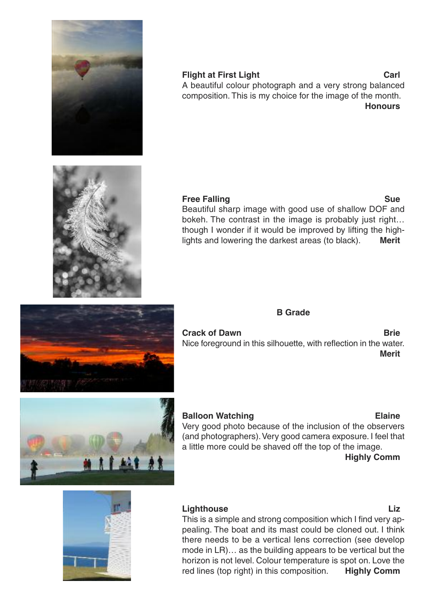

### **Flight at First Light Carl** A beautiful colour photograph and a very strong balanced composition. This is my choice for the image of the month. **Honours**



### **Free Falling Sue**

Beautiful sharp image with good use of shallow DOF and bokeh. The contrast in the image is probably just right… though I wonder if it would be improved by lifting the highlights and lowering the darkest areas (to black). **Merit**



**Crack** of Dawn **Brie** Nice foreground in this silhouette, with reflection in the water. **Merit**

**B Grade**



# **Balloon Watching Elaine**

Very good photo because of the inclusion of the observers (and photographers). Very good camera exposure. I feel that a little more could be shaved off the top of the image.

### **Highly Comm**



### **Lighthouse Liz**

This is a simple and strong composition which I find very appealing. The boat and its mast could be cloned out. I think there needs to be a vertical lens correction (see develop mode in LR)… as the building appears to be vertical but the horizon is not level. Colour temperature is spot on. Love the red lines (top right) in this composition. **Highly Comm**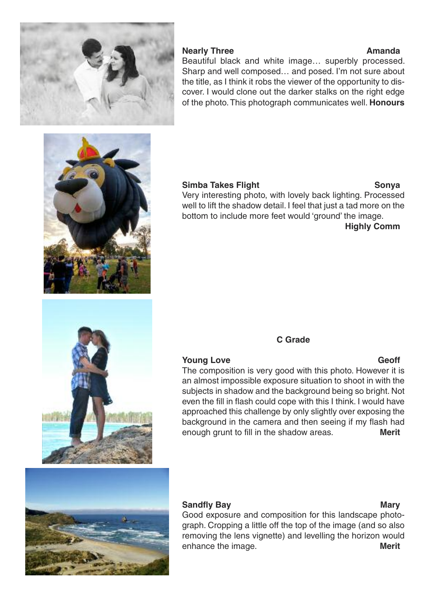

### **Nearly Three Amanda**

# Beautiful black and white image… superbly processed. Sharp and well composed… and posed. I'm not sure about the title, as I think it robs the viewer of the opportunity to discover. I would clone out the darker stalks on the right edge of the photo.This photograph communicates well. **Honours**



# **Simba Takes Flight Sonya**

Very interesting photo, with lovely back lighting. Processed well to lift the shadow detail. I feel that just a tad more on the bottom to include more feet would 'ground' the image.

**Highly Comm**

## **C Grade**

### **Young Love Geoff**

## The composition is very good with this photo. However it is an almost impossible exposure situation to shoot in with the subjects in shadow and the background being so bright. Not even the fill in flash could cope with this I think. I would have approached this challenge by only slightly over exposing the background in the camera and then seeing if my flash had enough grunt to fill in the shadow areas. **Merit**



### **Sandfly Bay Mary Mary**

Good exposure and composition for this landscape photograph. Cropping a little off the top of the image (and so also removing the lens vignette) and levelling the horizon would enhance the image. **Merit**